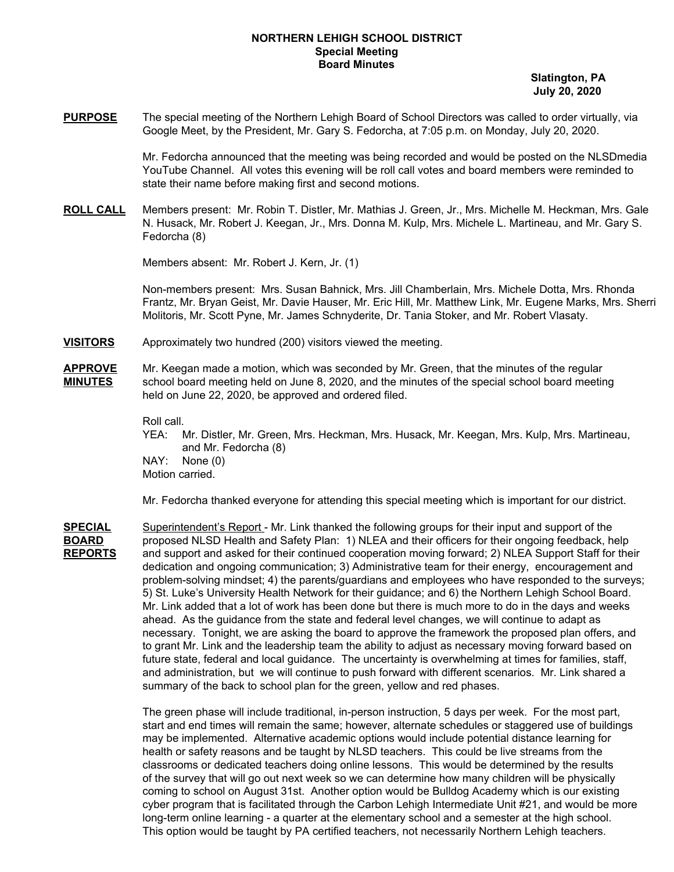## **NORTHERN LEHIGH SCHOOL DISTRICT Special Meeting Board Minutes**

**Slatington, PA July 20, 2020**

**PURPOSE** The special meeting of the Northern Lehigh Board of School Directors was called to order virtually, via Google Meet, by the President, Mr. Gary S. Fedorcha, at 7:05 p.m. on Monday, July 20, 2020.

> Mr. Fedorcha announced that the meeting was being recorded and would be posted on the NLSDmedia YouTube Channel. All votes this evening will be roll call votes and board members were reminded to state their name before making first and second motions.

**ROLL CALL** Members present: Mr. Robin T. Distler, Mr. Mathias J. Green, Jr., Mrs. Michelle M. Heckman, Mrs. Gale N. Husack, Mr. Robert J. Keegan, Jr., Mrs. Donna M. Kulp, Mrs. Michele L. Martineau, and Mr. Gary S. Fedorcha (8)

Members absent: Mr. Robert J. Kern, Jr. (1)

Non-members present: Mrs. Susan Bahnick, Mrs. Jill Chamberlain, Mrs. Michele Dotta, Mrs. Rhonda Frantz, Mr. Bryan Geist, Mr. Davie Hauser, Mr. Eric Hill, Mr. Matthew Link, Mr. Eugene Marks, Mrs. Sherri Molitoris, Mr. Scott Pyne, Mr. James Schnyderite, Dr. Tania Stoker, and Mr. Robert Vlasaty.

**VISITORS** Approximately two hundred (200) visitors viewed the meeting.

**APPROVE** Mr. Keegan made a motion, which was seconded by Mr. Green, that the minutes of the regular **MINUTES** school board meeting held on June 8, 2020, and the minutes of the special school board meeting held on June 22, 2020, be approved and ordered filed.

Roll call.

YEA: Mr. Distler, Mr. Green, Mrs. Heckman, Mrs. Husack, Mr. Keegan, Mrs. Kulp, Mrs. Martineau, and Mr. Fedorcha (8) NAY: None (0)

Motion carried.

Mr. Fedorcha thanked everyone for attending this special meeting which is important for our district.

**SPECIAL** Superintendent's Report - Mr. Link thanked the following groups for their input and support of the **BOARD** proposed NLSD Health and Safety Plan: 1) NLEA and their officers for their ongoing feedback, help **REPORTS** and support and asked for their continued cooperation moving forward; 2) NLEA Support Staff for their dedication and ongoing communication; 3) Administrative team for their energy, encouragement and problem-solving mindset; 4) the parents/guardians and employees who have responded to the surveys; 5) St. Luke's University Health Network for their guidance; and 6) the Northern Lehigh School Board. Mr. Link added that a lot of work has been done but there is much more to do in the days and weeks ahead. As the guidance from the state and federal level changes, we will continue to adapt as necessary. Tonight, we are asking the board to approve the framework the proposed plan offers, and to grant Mr. Link and the leadership team the ability to adjust as necessary moving forward based on future state, federal and local guidance. The uncertainty is overwhelming at times for families, staff, and administration, but we will continue to push forward with different scenarios. Mr. Link shared a summary of the back to school plan for the green, yellow and red phases.

> The green phase will include traditional, in-person instruction, 5 days per week. For the most part, start and end times will remain the same; however, alternate schedules or staggered use of buildings may be implemented. Alternative academic options would include potential distance learning for health or safety reasons and be taught by NLSD teachers. This could be live streams from the classrooms or dedicated teachers doing online lessons. This would be determined by the results of the survey that will go out next week so we can determine how many children will be physically coming to school on August 31st. Another option would be Bulldog Academy which is our existing cyber program that is facilitated through the Carbon Lehigh Intermediate Unit #21, and would be more long-term online learning - a quarter at the elementary school and a semester at the high school. This option would be taught by PA certified teachers, not necessarily Northern Lehigh teachers.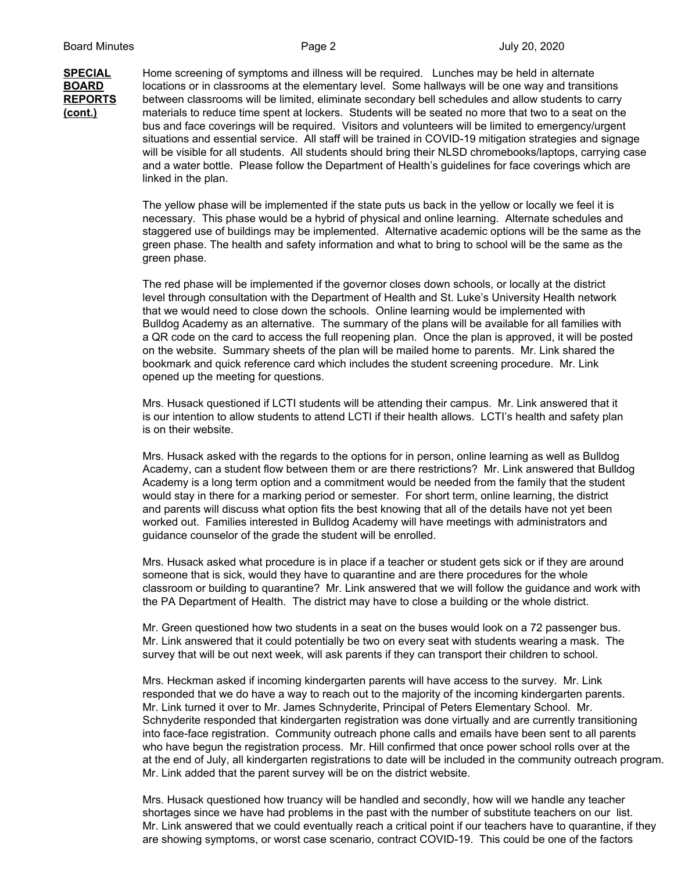**SPECIAL** Home screening of symptoms and illness will be required. Lunches may be held in alternate **BOARD** locations or in classrooms at the elementary level. Some hallways will be one way and transitions **REPORTS** between classrooms will be limited, eliminate secondary bell schedules and allow students to carry **(cont.)** materials to reduce time spent at lockers. Students will be seated no more that two to a seat on the bus and face coverings will be required. Visitors and volunteers will be limited to emergency/urgent situations and essential service. All staff will be trained in COVID-19 mitigation strategies and signage will be visible for all students. All students should bring their NLSD chromebooks/laptops, carrying case and a water bottle. Please follow the Department of Health's guidelines for face coverings which are linked in the plan.

> The yellow phase will be implemented if the state puts us back in the yellow or locally we feel it is necessary. This phase would be a hybrid of physical and online learning. Alternate schedules and staggered use of buildings may be implemented. Alternative academic options will be the same as the green phase. The health and safety information and what to bring to school will be the same as the green phase.

The red phase will be implemented if the governor closes down schools, or locally at the district level through consultation with the Department of Health and St. Luke's University Health network that we would need to close down the schools. Online learning would be implemented with Bulldog Academy as an alternative. The summary of the plans will be available for all families with a QR code on the card to access the full reopening plan. Once the plan is approved, it will be posted on the website. Summary sheets of the plan will be mailed home to parents. Mr. Link shared the bookmark and quick reference card which includes the student screening procedure. Mr. Link opened up the meeting for questions.

Mrs. Husack questioned if LCTI students will be attending their campus. Mr. Link answered that it is our intention to allow students to attend LCTI if their health allows. LCTI's health and safety plan is on their website.

Mrs. Husack asked with the regards to the options for in person, online learning as well as Bulldog Academy, can a student flow between them or are there restrictions? Mr. Link answered that Bulldog Academy is a long term option and a commitment would be needed from the family that the student would stay in there for a marking period or semester. For short term, online learning, the district and parents will discuss what option fits the best knowing that all of the details have not yet been worked out. Families interested in Bulldog Academy will have meetings with administrators and guidance counselor of the grade the student will be enrolled.

Mrs. Husack asked what procedure is in place if a teacher or student gets sick or if they are around someone that is sick, would they have to quarantine and are there procedures for the whole classroom or building to quarantine? Mr. Link answered that we will follow the guidance and work with the PA Department of Health. The district may have to close a building or the whole district.

Mr. Green questioned how two students in a seat on the buses would look on a 72 passenger bus. Mr. Link answered that it could potentially be two on every seat with students wearing a mask. The survey that will be out next week, will ask parents if they can transport their children to school.

Mrs. Heckman asked if incoming kindergarten parents will have access to the survey. Mr. Link responded that we do have a way to reach out to the majority of the incoming kindergarten parents. Mr. Link turned it over to Mr. James Schnyderite, Principal of Peters Elementary School. Mr. Schnyderite responded that kindergarten registration was done virtually and are currently transitioning into face-face registration. Community outreach phone calls and emails have been sent to all parents who have begun the registration process. Mr. Hill confirmed that once power school rolls over at the at the end of July, all kindergarten registrations to date will be included in the community outreach program. Mr. Link added that the parent survey will be on the district website.

Mrs. Husack questioned how truancy will be handled and secondly, how will we handle any teacher shortages since we have had problems in the past with the number of substitute teachers on our list. Mr. Link answered that we could eventually reach a critical point if our teachers have to quarantine, if they are showing symptoms, or worst case scenario, contract COVID-19. This could be one of the factors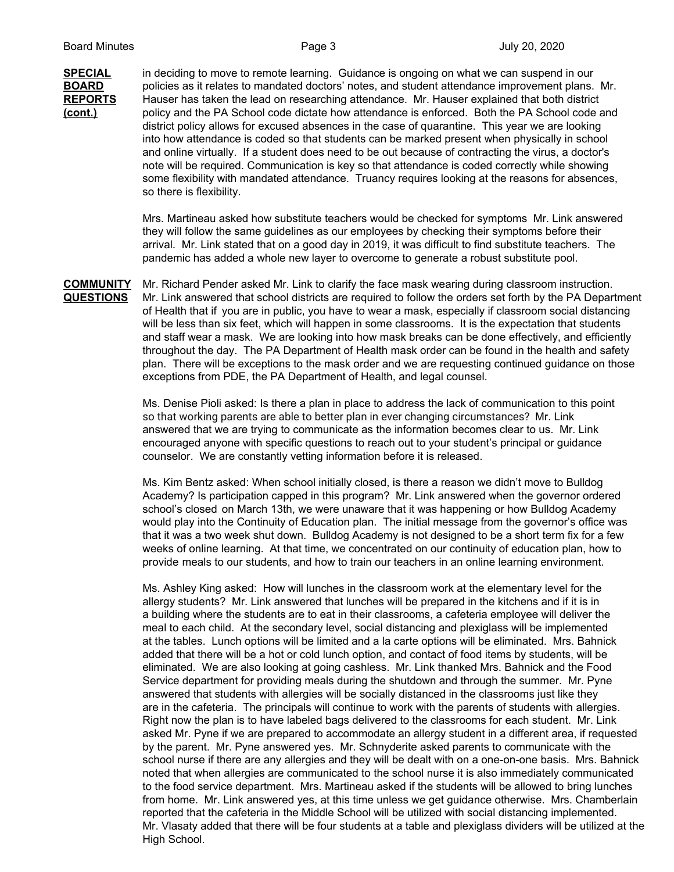**SPECIAL** in deciding to move to remote learning. Guidance is ongoing on what we can suspend in our **BOARD** policies as it relates to mandated doctors' notes, and student attendance improvement plans. Mr. **REPORTS** Hauser has taken the lead on researching attendance. Mr. Hauser explained that both district **(cont.)** policy and the PA School code dictate how attendance is enforced. Both the PA School code and district policy allows for excused absences in the case of quarantine. This year we are looking into how attendance is coded so that students can be marked present when physically in school and online virtually. If a student does need to be out because of contracting the virus, a doctor's note will be required. Communication is key so that attendance is coded correctly while showing some flexibility with mandated attendance. Truancy requires looking at the reasons for absences, so there is flexibility.

> Mrs. Martineau asked how substitute teachers would be checked for symptoms Mr. Link answered they will follow the same guidelines as our employees by checking their symptoms before their arrival. Mr. Link stated that on a good day in 2019, it was difficult to find substitute teachers. The pandemic has added a whole new layer to overcome to generate a robust substitute pool.

**COMMUNITY** Mr. Richard Pender asked Mr. Link to clarify the face mask wearing during classroom instruction. **QUESTIONS** Mr. Link answered that school districts are required to follow the orders set forth by the PA Department of Health that if you are in public, you have to wear a mask, especially if classroom social distancing will be less than six feet, which will happen in some classrooms. It is the expectation that students and staff wear a mask. We are looking into how mask breaks can be done effectively, and efficiently throughout the day. The PA Department of Health mask order can be found in the health and safety plan. There will be exceptions to the mask order and we are requesting continued guidance on those exceptions from PDE, the PA Department of Health, and legal counsel.

> Ms. Denise Pioli asked: Is there a plan in place to address the lack of communication to this point so that working parents are able to better plan in ever changing circumstances? Mr. Link answered that we are trying to communicate as the information becomes clear to us. Mr. Link encouraged anyone with specific questions to reach out to your student's principal or guidance counselor. We are constantly vetting information before it is released.

Ms. Kim Bentz asked: When school initially closed, is there a reason we didn't move to Bulldog Academy? Is participation capped in this program? Mr. Link answered when the governor ordered school's closed on March 13th, we were unaware that it was happening or how Bulldog Academy would play into the Continuity of Education plan. The initial message from the governor's office was that it was a two week shut down. Bulldog Academy is not designed to be a short term fix for a few weeks of online learning. At that time, we concentrated on our continuity of education plan, how to provide meals to our students, and how to train our teachers in an online learning environment.

Ms. Ashley King asked: How will lunches in the classroom work at the elementary level for the allergy students? Mr. Link answered that lunches will be prepared in the kitchens and if it is in a building where the students are to eat in their classrooms, a cafeteria employee will deliver the meal to each child. At the secondary level, social distancing and plexiglass will be implemented at the tables. Lunch options will be limited and a la carte options will be eliminated. Mrs. Bahnick added that there will be a hot or cold lunch option, and contact of food items by students, will be eliminated. We are also looking at going cashless. Mr. Link thanked Mrs. Bahnick and the Food Service department for providing meals during the shutdown and through the summer. Mr. Pyne answered that students with allergies will be socially distanced in the classrooms just like they are in the cafeteria. The principals will continue to work with the parents of students with allergies. Right now the plan is to have labeled bags delivered to the classrooms for each student. Mr. Link asked Mr. Pyne if we are prepared to accommodate an allergy student in a different area, if requested by the parent. Mr. Pyne answered yes. Mr. Schnyderite asked parents to communicate with the school nurse if there are any allergies and they will be dealt with on a one-on-one basis. Mrs. Bahnick noted that when allergies are communicated to the school nurse it is also immediately communicated to the food service department. Mrs. Martineau asked if the students will be allowed to bring lunches from home. Mr. Link answered yes, at this time unless we get guidance otherwise. Mrs. Chamberlain reported that the cafeteria in the Middle School will be utilized with social distancing implemented. Mr. Vlasaty added that there will be four students at a table and plexiglass dividers will be utilized at the High School.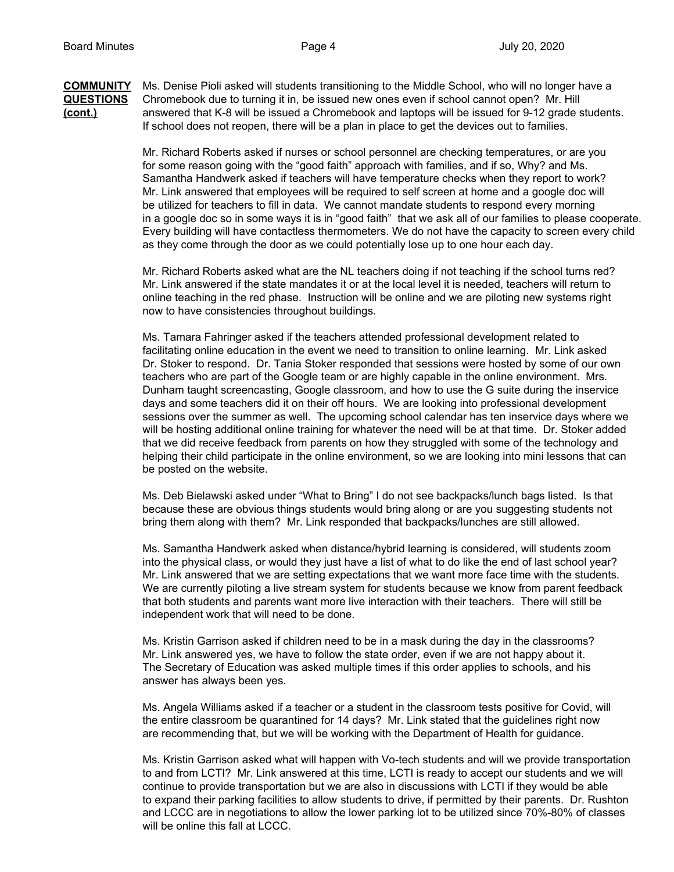**COMMUNITY** Ms. Denise Pioli asked will students transitioning to the Middle School, who will no longer have a **QUESTIONS** Chromebook due to turning it in, be issued new ones even if school cannot open? Mr. Hill **(cont.)** answered that K-8 will be issued a Chromebook and laptops will be issued for 9-12 grade students. If school does not reopen, there will be a plan in place to get the devices out to families.

> Mr. Richard Roberts asked if nurses or school personnel are checking temperatures, or are you for some reason going with the "good faith" approach with families, and if so, Why? and Ms. Samantha Handwerk asked if teachers will have temperature checks when they report to work? Mr. Link answered that employees will be required to self screen at home and a google doc will be utilized for teachers to fill in data. We cannot mandate students to respond every morning in a google doc so in some ways it is in "good faith" that we ask all of our families to please cooperate. Every building will have contactless thermometers. We do not have the capacity to screen every child as they come through the door as we could potentially lose up to one hour each day.

Mr. Richard Roberts asked what are the NL teachers doing if not teaching if the school turns red? Mr. Link answered if the state mandates it or at the local level it is needed, teachers will return to online teaching in the red phase. Instruction will be online and we are piloting new systems right now to have consistencies throughout buildings.

Ms. Tamara Fahringer asked if the teachers attended professional development related to facilitating online education in the event we need to transition to online learning. Mr. Link asked Dr. Stoker to respond. Dr. Tania Stoker responded that sessions were hosted by some of our own teachers who are part of the Google team or are highly capable in the online environment. Mrs. Dunham taught screencasting, Google classroom, and how to use the G suite during the inservice days and some teachers did it on their off hours. We are looking into professional development sessions over the summer as well. The upcoming school calendar has ten inservice days where we will be hosting additional online training for whatever the need will be at that time. Dr. Stoker added that we did receive feedback from parents on how they struggled with some of the technology and helping their child participate in the online environment, so we are looking into mini lessons that can be posted on the website.

Ms. Deb Bielawski asked under "What to Bring" I do not see backpacks/lunch bags listed. Is that because these are obvious things students would bring along or are you suggesting students not bring them along with them? Mr. Link responded that backpacks/lunches are still allowed.

Ms. Samantha Handwerk asked when distance/hybrid learning is considered, will students zoom into the physical class, or would they just have a list of what to do like the end of last school year? Mr. Link answered that we are setting expectations that we want more face time with the students. We are currently piloting a live stream system for students because we know from parent feedback that both students and parents want more live interaction with their teachers. There will still be independent work that will need to be done.

Ms. Kristin Garrison asked if children need to be in a mask during the day in the classrooms? Mr. Link answered yes, we have to follow the state order, even if we are not happy about it. The Secretary of Education was asked multiple times if this order applies to schools, and his answer has always been yes.

Ms. Angela Williams asked if a teacher or a student in the classroom tests positive for Covid, will the entire classroom be quarantined for 14 days? Mr. Link stated that the guidelines right now are recommending that, but we will be working with the Department of Health for guidance.

Ms. Kristin Garrison asked what will happen with Vo-tech students and will we provide transportation to and from LCTI? Mr. Link answered at this time, LCTI is ready to accept our students and we will continue to provide transportation but we are also in discussions with LCTI if they would be able to expand their parking facilities to allow students to drive, if permitted by their parents. Dr. Rushton and LCCC are in negotiations to allow the lower parking lot to be utilized since 70%-80% of classes will be online this fall at LCCC.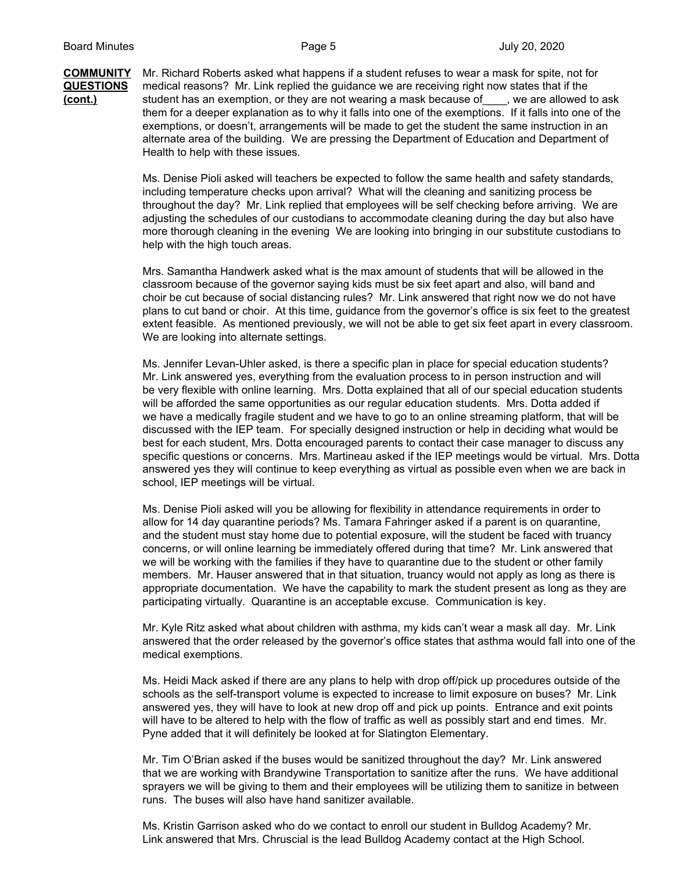## **COMMUNITY** Mr. Richard Roberts asked what happens if a student refuses to wear a mask for spite, not for **QUESTIONS** medical reasons? Mr. Link replied the guidance we are receiving right now states that if the **(cont.)** student has an exemption, or they are not wearing a mask because of\_\_\_\_, we are allowed to ask them for a deeper explanation as to why it falls into one of the exemptions. If it falls into one of the exemptions, or doesn't, arrangements will be made to get the student the same instruction in an alternate area of the building. We are pressing the Department of Education and Department of Health to help with these issues.

Ms. Denise Pioli asked will teachers be expected to follow the same health and safety standards, including temperature checks upon arrival? What will the cleaning and sanitizing process be throughout the day? Mr. Link replied that employees will be self checking before arriving. We are adjusting the schedules of our custodians to accommodate cleaning during the day but also have more thorough cleaning in the evening We are looking into bringing in our substitute custodians to help with the high touch areas.

Mrs. Samantha Handwerk asked what is the max amount of students that will be allowed in the classroom because of the governor saying kids must be six feet apart and also, will band and choir be cut because of social distancing rules? Mr. Link answered that right now we do not have plans to cut band or choir. At this time, guidance from the governor's office is six feet to the greatest extent feasible. As mentioned previously, we will not be able to get six feet apart in every classroom. We are looking into alternate settings.

Ms. Jennifer Levan-Uhler asked, is there a specific plan in place for special education students? Mr. Link answered yes, everything from the evaluation process to in person instruction and will be very flexible with online learning. Mrs. Dotta explained that all of our special education students will be afforded the same opportunities as our regular education students. Mrs. Dotta added if we have a medically fragile student and we have to go to an online streaming platform, that will be discussed with the IEP team. For specially designed instruction or help in deciding what would be best for each student, Mrs. Dotta encouraged parents to contact their case manager to discuss any specific questions or concerns. Mrs. Martineau asked if the IEP meetings would be virtual. Mrs. Dotta answered yes they will continue to keep everything as virtual as possible even when we are back in school, IEP meetings will be virtual.

Ms. Denise Pioli asked will you be allowing for flexibility in attendance requirements in order to allow for 14 day quarantine periods? Ms. Tamara Fahringer asked if a parent is on quarantine, and the student must stay home due to potential exposure, will the student be faced with truancy concerns, or will online learning be immediately offered during that time? Mr. Link answered that we will be working with the families if they have to quarantine due to the student or other family members. Mr. Hauser answered that in that situation, truancy would not apply as long as there is appropriate documentation. We have the capability to mark the student present as long as they are participating virtually. Quarantine is an acceptable excuse. Communication is key.

Mr. Kyle Ritz asked what about children with asthma, my kids can't wear a mask all day. Mr. Link answered that the order released by the governor's office states that asthma would fall into one of the medical exemptions.

Ms. Heidi Mack asked if there are any plans to help with drop off/pick up procedures outside of the schools as the self-transport volume is expected to increase to limit exposure on buses? Mr. Link answered yes, they will have to look at new drop off and pick up points. Entrance and exit points will have to be altered to help with the flow of traffic as well as possibly start and end times. Mr. Pyne added that it will definitely be looked at for Slatington Elementary.

Mr. Tim O'Brian asked if the buses would be sanitized throughout the day? Mr. Link answered that we are working with Brandywine Transportation to sanitize after the runs. We have additional sprayers we will be giving to them and their employees will be utilizing them to sanitize in between runs. The buses will also have hand sanitizer available.

Ms. Kristin Garrison asked who do we contact to enroll our student in Bulldog Academy? Mr. Link answered that Mrs. Chruscial is the lead Bulldog Academy contact at the High School.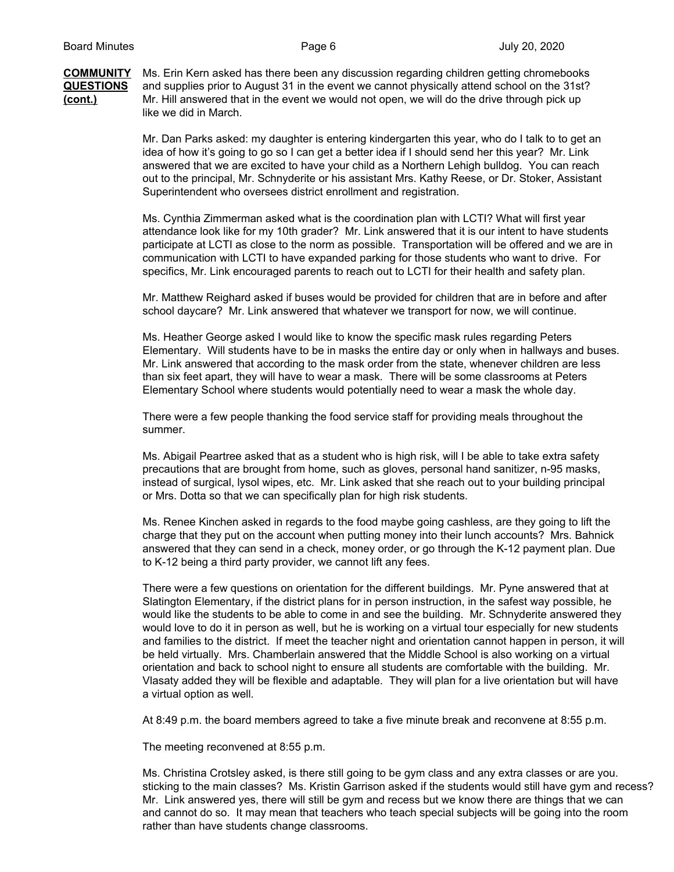**COMMUNITY** Ms. Erin Kern asked has there been any discussion regarding children getting chromebooks **QUESTIONS** and supplies prior to August 31 in the event we cannot physically attend school on the 31st? **(cont.)** Mr. Hill answered that in the event we would not open, we will do the drive through pick up like we did in March.

> Mr. Dan Parks asked: my daughter is entering kindergarten this year, who do I talk to to get an idea of how it's going to go so I can get a better idea if I should send her this year? Mr. Link answered that we are excited to have your child as a Northern Lehigh bulldog. You can reach out to the principal, Mr. Schnyderite or his assistant Mrs. Kathy Reese, or Dr. Stoker, Assistant Superintendent who oversees district enrollment and registration.

Ms. Cynthia Zimmerman asked what is the coordination plan with LCTI? What will first year attendance look like for my 10th grader? Mr. Link answered that it is our intent to have students participate at LCTI as close to the norm as possible. Transportation will be offered and we are in communication with LCTI to have expanded parking for those students who want to drive. For specifics, Mr. Link encouraged parents to reach out to LCTI for their health and safety plan.

Mr. Matthew Reighard asked if buses would be provided for children that are in before and after school daycare? Mr. Link answered that whatever we transport for now, we will continue.

Ms. Heather George asked I would like to know the specific mask rules regarding Peters Elementary. Will students have to be in masks the entire day or only when in hallways and buses. Mr. Link answered that according to the mask order from the state, whenever children are less than six feet apart, they will have to wear a mask. There will be some classrooms at Peters Elementary School where students would potentially need to wear a mask the whole day.

There were a few people thanking the food service staff for providing meals throughout the summer.

Ms. Abigail Peartree asked that as a student who is high risk, will I be able to take extra safety precautions that are brought from home, such as gloves, personal hand sanitizer, n-95 masks, instead of surgical, lysol wipes, etc. Mr. Link asked that she reach out to your building principal or Mrs. Dotta so that we can specifically plan for high risk students.

Ms. Renee Kinchen asked in regards to the food maybe going cashless, are they going to lift the charge that they put on the account when putting money into their lunch accounts? Mrs. Bahnick answered that they can send in a check, money order, or go through the K-12 payment plan. Due to K-12 being a third party provider, we cannot lift any fees.

There were a few questions on orientation for the different buildings. Mr. Pyne answered that at Slatington Elementary, if the district plans for in person instruction, in the safest way possible, he would like the students to be able to come in and see the building. Mr. Schnyderite answered they would love to do it in person as well, but he is working on a virtual tour especially for new students and families to the district. If meet the teacher night and orientation cannot happen in person, it will be held virtually. Mrs. Chamberlain answered that the Middle School is also working on a virtual orientation and back to school night to ensure all students are comfortable with the building. Mr. Vlasaty added they will be flexible and adaptable. They will plan for a live orientation but will have a virtual option as well.

At 8:49 p.m. the board members agreed to take a five minute break and reconvene at 8:55 p.m.

The meeting reconvened at 8:55 p.m.

Ms. Christina Crotsley asked, is there still going to be gym class and any extra classes or are you. sticking to the main classes? Ms. Kristin Garrison asked if the students would still have gym and recess? Mr. Link answered yes, there will still be gym and recess but we know there are things that we can and cannot do so. It may mean that teachers who teach special subjects will be going into the room rather than have students change classrooms.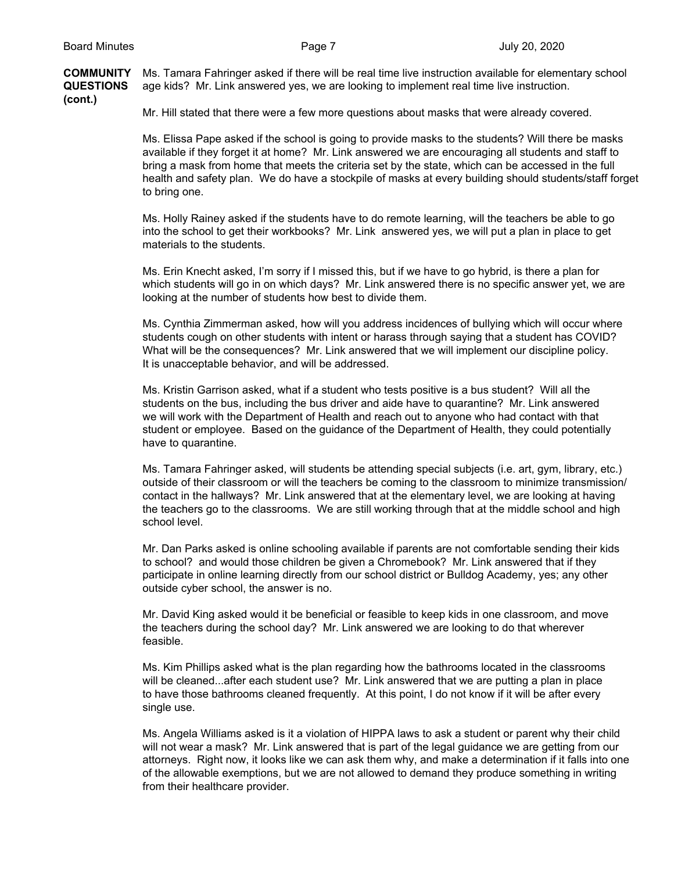**COMMUNITY** Ms. Tamara Fahringer asked if there will be real time live instruction available for elementary school **QUESTIONS** age kids? Mr. Link answered yes, we are looking to implement real time live instruction.

**(cont.)**

Mr. Hill stated that there were a few more questions about masks that were already covered.

Ms. Elissa Pape asked if the school is going to provide masks to the students? Will there be masks available if they forget it at home? Mr. Link answered we are encouraging all students and staff to bring a mask from home that meets the criteria set by the state, which can be accessed in the full health and safety plan. We do have a stockpile of masks at every building should students/staff forget to bring one.

Ms. Holly Rainey asked if the students have to do remote learning, will the teachers be able to go into the school to get their workbooks? Mr. Link answered yes, we will put a plan in place to get materials to the students.

Ms. Erin Knecht asked, I'm sorry if I missed this, but if we have to go hybrid, is there a plan for which students will go in on which days? Mr. Link answered there is no specific answer yet, we are looking at the number of students how best to divide them.

Ms. Cynthia Zimmerman asked, how will you address incidences of bullying which will occur where students cough on other students with intent or harass through saying that a student has COVID? What will be the consequences? Mr. Link answered that we will implement our discipline policy. It is unacceptable behavior, and will be addressed.

Ms. Kristin Garrison asked, what if a student who tests positive is a bus student? Will all the students on the bus, including the bus driver and aide have to quarantine? Mr. Link answered we will work with the Department of Health and reach out to anyone who had contact with that student or employee. Based on the guidance of the Department of Health, they could potentially have to quarantine.

Ms. Tamara Fahringer asked, will students be attending special subjects (i.e. art, gym, library, etc.) outside of their classroom or will the teachers be coming to the classroom to minimize transmission/ contact in the hallways? Mr. Link answered that at the elementary level, we are looking at having the teachers go to the classrooms. We are still working through that at the middle school and high school level.

Mr. Dan Parks asked is online schooling available if parents are not comfortable sending their kids to school? and would those children be given a Chromebook? Mr. Link answered that if they participate in online learning directly from our school district or Bulldog Academy, yes; any other outside cyber school, the answer is no.

Mr. David King asked would it be beneficial or feasible to keep kids in one classroom, and move the teachers during the school day? Mr. Link answered we are looking to do that wherever feasible.

Ms. Kim Phillips asked what is the plan regarding how the bathrooms located in the classrooms will be cleaned...after each student use? Mr. Link answered that we are putting a plan in place to have those bathrooms cleaned frequently. At this point, I do not know if it will be after every single use.

Ms. Angela Williams asked is it a violation of HIPPA laws to ask a student or parent why their child will not wear a mask? Mr. Link answered that is part of the legal guidance we are getting from our attorneys. Right now, it looks like we can ask them why, and make a determination if it falls into one of the allowable exemptions, but we are not allowed to demand they produce something in writing from their healthcare provider.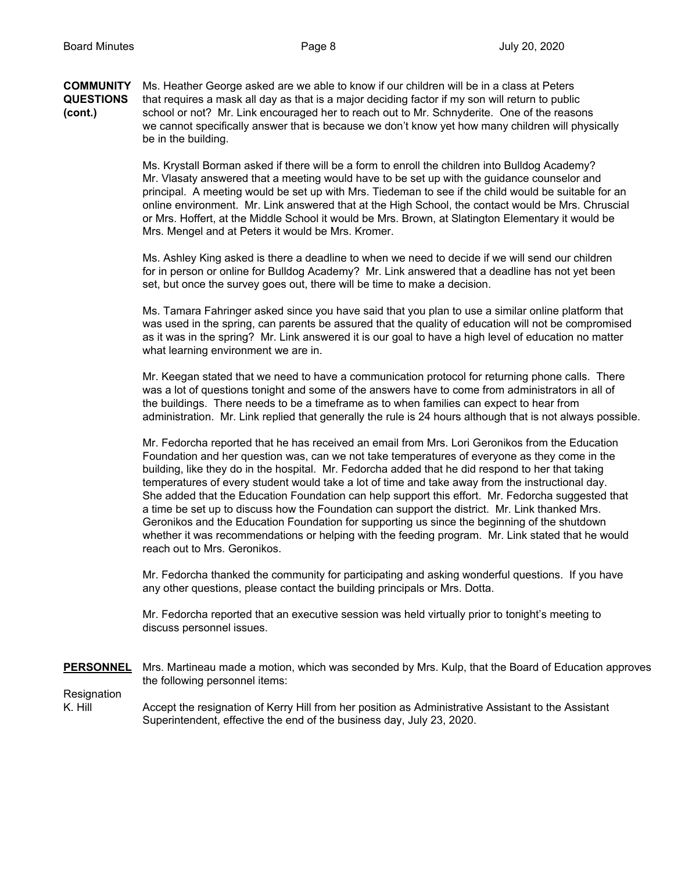**COMMUNITY** Ms. Heather George asked are we able to know if our children will be in a class at Peters **QUESTIONS** that requires a mask all day as that is a major deciding factor if my son will return to public **(cont.)** school or not? Mr. Link encouraged her to reach out to Mr. Schnyderite. One of the reasons we cannot specifically answer that is because we don't know yet how many children will physically be in the building.

> Ms. Krystall Borman asked if there will be a form to enroll the children into Bulldog Academy? Mr. Vlasaty answered that a meeting would have to be set up with the guidance counselor and principal. A meeting would be set up with Mrs. Tiedeman to see if the child would be suitable for an online environment. Mr. Link answered that at the High School, the contact would be Mrs. Chruscial or Mrs. Hoffert, at the Middle School it would be Mrs. Brown, at Slatington Elementary it would be Mrs. Mengel and at Peters it would be Mrs. Kromer.

Ms. Ashley King asked is there a deadline to when we need to decide if we will send our children for in person or online for Bulldog Academy? Mr. Link answered that a deadline has not yet been set, but once the survey goes out, there will be time to make a decision.

Ms. Tamara Fahringer asked since you have said that you plan to use a similar online platform that was used in the spring, can parents be assured that the quality of education will not be compromised as it was in the spring? Mr. Link answered it is our goal to have a high level of education no matter what learning environment we are in.

Mr. Keegan stated that we need to have a communication protocol for returning phone calls. There was a lot of questions tonight and some of the answers have to come from administrators in all of the buildings. There needs to be a timeframe as to when families can expect to hear from administration. Mr. Link replied that generally the rule is 24 hours although that is not always possible.

Mr. Fedorcha reported that he has received an email from Mrs. Lori Geronikos from the Education Foundation and her question was, can we not take temperatures of everyone as they come in the building, like they do in the hospital. Mr. Fedorcha added that he did respond to her that taking temperatures of every student would take a lot of time and take away from the instructional day. She added that the Education Foundation can help support this effort. Mr. Fedorcha suggested that a time be set up to discuss how the Foundation can support the district. Mr. Link thanked Mrs. Geronikos and the Education Foundation for supporting us since the beginning of the shutdown whether it was recommendations or helping with the feeding program. Mr. Link stated that he would reach out to Mrs. Geronikos.

Mr. Fedorcha thanked the community for participating and asking wonderful questions. If you have any other questions, please contact the building principals or Mrs. Dotta.

Mr. Fedorcha reported that an executive session was held virtually prior to tonight's meeting to discuss personnel issues.

**PERSONNEL** Mrs. Martineau made a motion, which was seconded by Mrs. Kulp, that the Board of Education approves the following personnel items:

**Resignation** 

K. Hill Accept the resignation of Kerry Hill from her position as Administrative Assistant to the Assistant Superintendent, effective the end of the business day, July 23, 2020.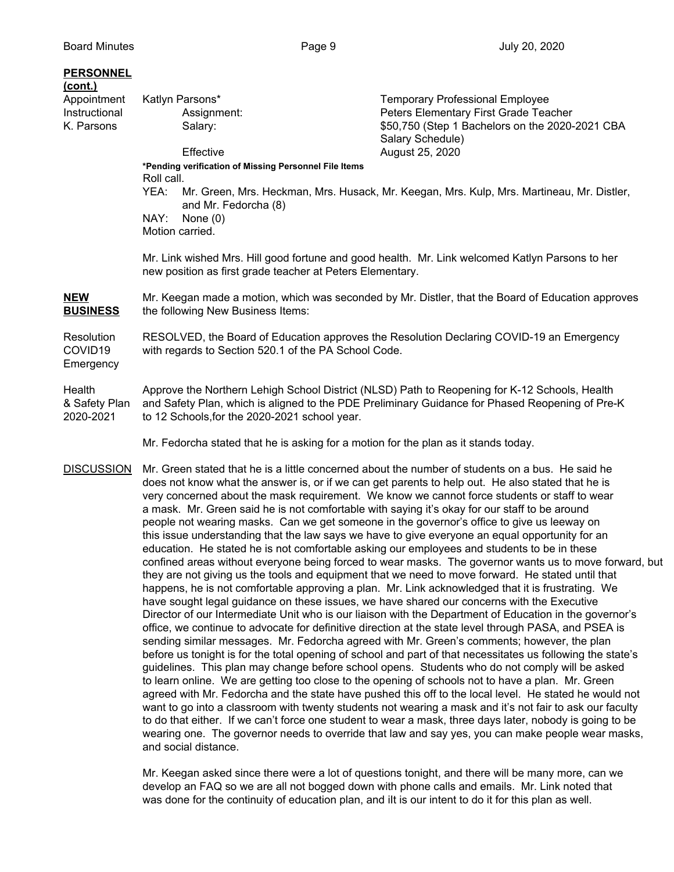## **PERSONNEL**

| (cont.)       |                                                       |                      |                                                                                           |
|---------------|-------------------------------------------------------|----------------------|-------------------------------------------------------------------------------------------|
| Appointment   | Katlyn Parsons*                                       |                      | <b>Temporary Professional Employee</b>                                                    |
| Instructional | Assignment:                                           |                      | Peters Elementary First Grade Teacher                                                     |
| K. Parsons    |                                                       | Salary:              | \$50,750 (Step 1 Bachelors on the 2020-2021 CBA                                           |
|               |                                                       |                      | Salary Schedule)                                                                          |
|               |                                                       | Effective            | August 25, 2020                                                                           |
|               | *Pending verification of Missing Personnel File Items |                      |                                                                                           |
|               | Roll call.                                            |                      |                                                                                           |
|               | YEA:                                                  | and Mr. Fedorcha (8) | Mr. Green, Mrs. Heckman, Mrs. Husack, Mr. Keegan, Mrs. Kulp, Mrs. Martineau, Mr. Distler, |
|               |                                                       | $NINU.$ $NI_{max}/N$ |                                                                                           |

NAY: None (0) Motion carried.

Mr. Link wished Mrs. Hill good fortune and good health. Mr. Link welcomed Katlyn Parsons to her new position as first grade teacher at Peters Elementary.

**NEW** Mr. Keegan made a motion, which was seconded by Mr. Distler, that the Board of Education approves **BUSINESS** the following New Business Items:

Resolution RESOLVED, the Board of Education approves the Resolution Declaring COVID-19 an Emergency COVID19 with regards to Section 520.1 of the PA School Code. **Emergency** 

Health Approve the Northern Lehigh School District (NLSD) Path to Reopening for K-12 Schools, Health & Safety Plan and Safety Plan, which is aligned to the PDE Preliminary Guidance for Phased Reopening of Pre-K 2020-2021 to 12 Schools,for the 2020-2021 school year.

Mr. Fedorcha stated that he is asking for a motion for the plan as it stands today.

DISCUSSION Mr. Green stated that he is a little concerned about the number of students on a bus. He said he does not know what the answer is, or if we can get parents to help out. He also stated that he is very concerned about the mask requirement. We know we cannot force students or staff to wear a mask. Mr. Green said he is not comfortable with saying it's okay for our staff to be around people not wearing masks. Can we get someone in the governor's office to give us leeway on this issue understanding that the law says we have to give everyone an equal opportunity for an education. He stated he is not comfortable asking our employees and students to be in these confined areas without everyone being forced to wear masks. The governor wants us to move forward, but they are not giving us the tools and equipment that we need to move forward. He stated until that happens, he is not comfortable approving a plan. Mr. Link acknowledged that it is frustrating. We have sought legal guidance on these issues, we have shared our concerns with the Executive Director of our Intermediate Unit who is our liaison with the Department of Education in the governor's office, we continue to advocate for definitive direction at the state level through PASA, and PSEA is sending similar messages. Mr. Fedorcha agreed with Mr. Green's comments; however, the plan before us tonight is for the total opening of school and part of that necessitates us following the state's guidelines. This plan may change before school opens. Students who do not comply will be asked to learn online. We are getting too close to the opening of schools not to have a plan. Mr. Green agreed with Mr. Fedorcha and the state have pushed this off to the local level. He stated he would not want to go into a classroom with twenty students not wearing a mask and it's not fair to ask our faculty to do that either. If we can't force one student to wear a mask, three days later, nobody is going to be wearing one. The governor needs to override that law and say yes, you can make people wear masks, and social distance.

> Mr. Keegan asked since there were a lot of questions tonight, and there will be many more, can we develop an FAQ so we are all not bogged down with phone calls and emails. Mr. Link noted that was done for the continuity of education plan, and iIt is our intent to do it for this plan as well.